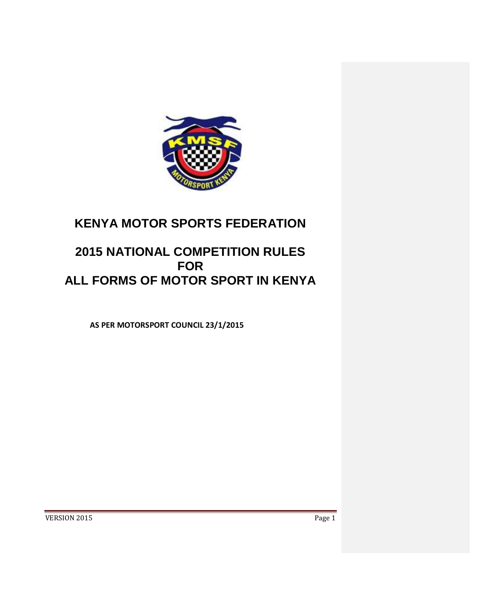

# **KENYA MOTOR SPORTS FEDERATION**

# **2015 NATIONAL COMPETITION RULES FOR ALL FORMS OF MOTOR SPORT IN KENYA**

**AS PER MOTORSPORT COUNCIL 23/1/2015**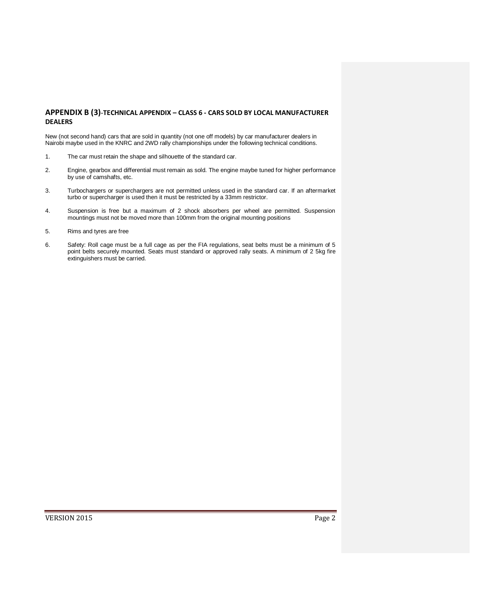# **APPENDIX B (3)**-**TECHNICAL APPENDIX – CLASS 6 - CARS SOLD BY LOCAL MANUFACTURER DEALERS**

New (not second hand) cars that are sold in quantity (not one off models) by car manufacturer dealers in Nairobi maybe used in the KNRC and 2WD rally championships under the following technical conditions.

- 1. The car must retain the shape and silhouette of the standard car.
- 2. Engine, gearbox and differential must remain as sold. The engine maybe tuned for higher performance by use of camshafts, etc.
- 3. Turbochargers or superchargers are not permitted unless used in the standard car. If an aftermarket turbo or supercharger is used then it must be restricted by a 33mm restrictor.
- 4. Suspension is free but a maximum of 2 shock absorbers per wheel are permitted. Suspension mountings must not be moved more than 100mm from the original mounting positions
- 5. Rims and tyres are free
- 6. Safety: Roll cage must be a full cage as per the FIA regulations, seat belts must be a minimum of 5 point belts securely mounted. Seats must standard or approved rally seats. A minimum of 2 5kg fire extinguishers must be carried.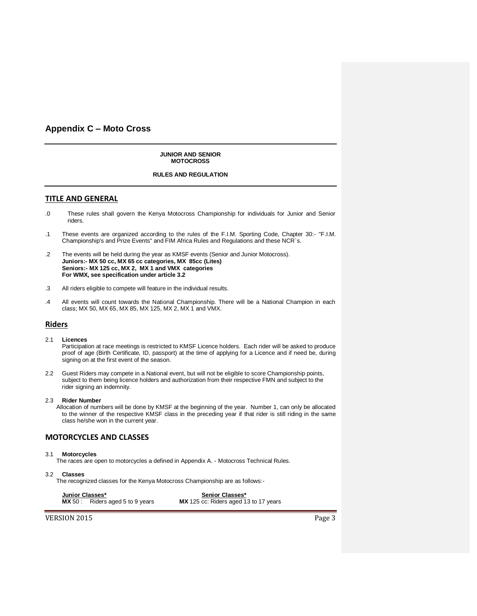# **Appendix C – Moto Cross**

**JUNIOR AND SENIOR MOTOCROSS**

# **RULES AND REGULATION**

# **TITLE AND GENERAL**

- .0 These rules shall govern the Kenya Motocross Championship for individuals for Junior and Senior riders.
- .1 These events are organized according to the rules of the F.I.M. Sporting Code, Chapter 30:- "F.I.M. Championship's and Prize Events" and FIM Africa Rules and Regulations and these NCR`s.
- .2 The events will be held during the year as KMSF events (Senior and Junior Motocross). **Juniors:- MX 50 cc, MX 65 cc categories, MX 85cc (Lites) Seniors:- MX 125 cc, MX 2, MX 1 and VMX categories For WMX, see specification under article 3.2**
- .3 All riders eligible to compete will feature in the individual results.
- .4 All events will count towards the National Championship. There will be a National Champion in each class; MX 50, MX 65, MX 85, MX 125, MX 2, MX 1 and VMX.

# **Riders**

2.1 **Licences**

Participation at race meetings is restricted to KMSF Licence holders. Each rider will be asked to produce proof of age (Birth Certificate, ID, passport) at the time of applying for a Licence and if need be, during signing on at the first event of the season.

2.2 Guest Riders may compete in a National event, but will not be eligible to score Championship points, subject to them being licence holders and authorization from their respective FMN and subject to the rider signing an indemnity.

#### 2.3 **Rider Number**

Allocation of numbers will be done by KMSF at the beginning of the year. Number 1, can only be allocated to the winner of the respective KMSF class in the preceding year if that rider is still riding in the same class he/she won in the current year.

## **MOTORCYCLES AND CLASSES**

## 3.1 **Motorcycles**

The races are open to motorcycles a defined in Appendix A. - Motocross Technical Rules.

3.2 **Classes**

The recognized classes for the Kenya Motocross Championship are as follows:-

**Junior Classes\* Senior Classes\* MX** 125 cc: Riders aged 13 to 17 years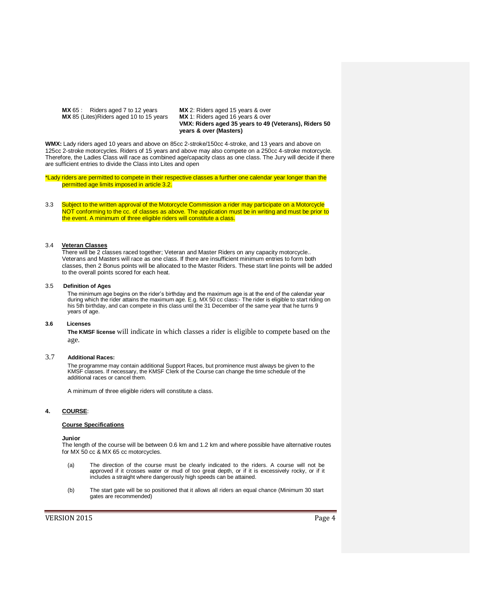**MX 65 :** Riders aged 7 to 12 years **MX 2: Riders aged 15 years & over MX 85 (Lites) Riders aged 10 to 15 years <b>MX 1: Riders aged 16 years & over MX** 85 (Lites)Riders aged 10 to 15 years

**VMX: Riders aged 35 years to 49 (Veterans), Riders 50 years & over (Masters)**

**WMX:** Lady riders aged 10 years and above on 85cc 2-stroke/150cc 4-stroke, and 13 years and above on 125cc 2-stroke motorcycles. Riders of 15 years and above may also compete on a 250cc 4-stroke motorcycle. Therefore, the Ladies Class will race as combined age/capacity class as one class. The Jury will decide if there are sufficient entries to divide the Class into Lites and open

\*Lady riders are permitted to compete in their respective classes a further one calendar year longer than the permitted age limits imposed in article 3.2.

3.3 Subject to the written approval of the Motorcycle Commission a rider may participate on a Motorcycle NOT conforming to the cc. of classes as above. The application must be in writing and must be prior to the event. A minimum of three eligible riders will constitute a class.

#### 3.4 **Veteran Classes**

There will be 2 classes raced together; Veteran and Master Riders on any capacity motorcycle.. Veterans and Masters will race as one class. If there are insufficient minimum entries to form both classes, then 2 Bonus points will be allocated to the Master Riders. These start line points will be added to the overall points scored for each heat.

## 3.5 **Definition of Ages**

The minimum age begins on the rider's birthday and the maximum age is at the end of the calendar year during which the rider attains the maximum age. E.g. MX 50 cc class:- The rider is eligible to start riding on his 5th birthday, and can compete in this class until the 31 December of the same year that he turns 9 years of age.

#### **3.6 Licenses**

**The KMSF license** will indicate in which classes a rider is eligible to compete based on the age.

## 3.7 **Additional Races:**

The programme may contain additional Support Races, but prominence must always be given to the KMSF classes. If necessary, the KMSF Clerk of the Course can change the time schedule of the additional races or cancel them.

A minimum of three eligible riders will constitute a class.

#### **4. COURSE**:

## **Course Specifications**

#### **Junior**

The length of the course will be between 0.6 km and 1.2 km and where possible have alternative routes for MX 50 cc & MX 65 cc motorcycles.

- (a) The direction of the course must be clearly indicated to the riders. A course will not be approved if it crosses water or mud of too great depth, or if it is excessively rocky, or if it includes a straight where dangerously high speeds can be attained.
- (b) The start gate will be so positioned that it allows all riders an equal chance (Minimum 30 start gates are recommended)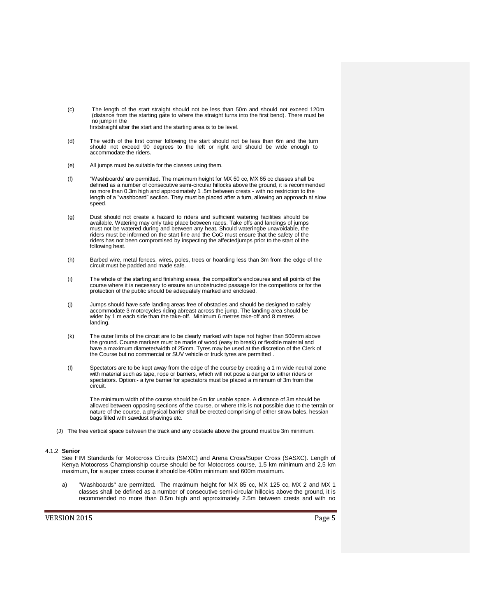- (c) The length of the start straight should not be less than 50m and should not exceed 120m (distance from the starting gate to where the straight turns into the first bend). There must be no jump in the firststraight after the start and the starting area is to be level.
	-
- (d) The width of the first corner following the start should not be less than 6m and the turn should not exceed 90 degrees to the left or right and should be wide enough to accommodate the riders.
- (e) All jumps must be suitable for the classes using them.
- (f) "Washboards' are permitted. The maximum height for MX 50 cc, MX 65 cc classes shall be defined as a number of consecutive semi-circular hillocks above the ground, it is recommended no more than 0.3m high and approximately 1 .5m between crests - with no restriction to the length of a "washboard" section. They must be placed after a turn, allowing an approach at slow speed.
- (g) Dust should not create a hazard to riders and sufficient watering facilities should be available. Watering may only take place between races. Take offs and landings of jumps must not be watered during and between any heat. Should wateringbe unavoidable, the riders must be informed on the start line and the CoC must ensure that the safety of the riders has not been compromised by inspecting the affectedjumps prior to the start of the following heat.
- (h) Barbed wire, metal fences, wires, poles, trees or hoarding less than 3m from the edge of the circuit must be padded and made safe.
- (i) The whole of the starting and finishing areas, the competitor's enclosures and all points of the course where it is necessary to ensure an unobstructed passage for the competitors or for the protection of the public should be adequately marked and enclosed.
- (j) Jumps should have safe landing areas free of obstacles and should be designed to safely<br>accommodate 3 motorcycles riding abreast across the jump. The landing area should be<br>wider by 1 m each side than the take-off. Min landing.
- (k) The outer limits of the circuit are to be clearly marked with tape not higher than 500mm above the ground. Course markers must be made of wood (easy to break) or flexible material and have a maximum diameter/width of 25mm. Tyres may be used at the discretion of the Clerk of the Course but no commercial or SUV vehicle or truck tyres are permitted .
- (I) Spectators are to be kept away from the edge of the course by creating a 1 m wide neutral zone with material such as tape, rope or barriers, which will not pose a danger to either riders or spectators. Option:- a tyre barrier for spectators must be placed a minimum of 3m from the circuit.

The minimum width of the course should be 6m for usable space. A distance of 3m should be allowed between opposing sections of the course, or where this is not possible due to the terrain or nature of the course, a physical barrier shall be erected comprising of either straw bales, hessian bags filled with sawdust shavings etc.

(J) The free vertical space between the track and any obstacle above the ground must be 3m minimum.

#### 4.1.2 **Senior**

See FIM Standards for Motocross Circuits (SMXC) and Arena Cross/Super Cross (SASXC). Length of Kenya Motocross Championship course should be for Motocross course, 1.5 km minimum and 2,5 km maximum, for a super cross course it should be 400m minimum and 600m maximum.

a) "Washboards" are permitted. The maximum height for MX 85 cc, MX 125 cc, MX 2 and MX 1 classes shall be defined as a number of consecutive semi-circular hillocks above the ground, it is recommended no more than 0.5m high and approximately 2.5m between crests and with no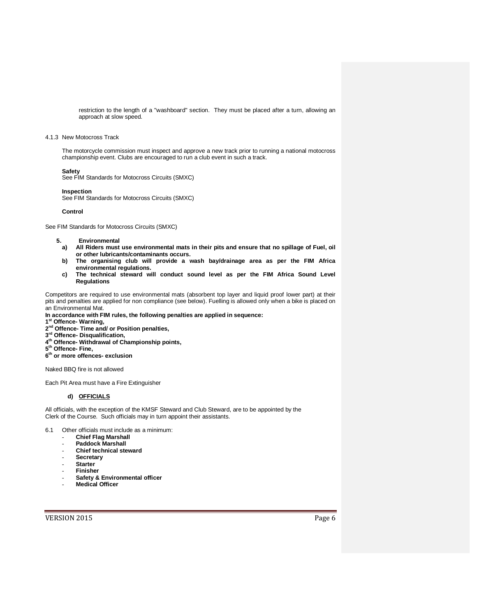restriction to the length of a "washboard" section. They must be placed after a turn, allowing an approach at slow speed.

#### 4.1.3 New Motocross Track

The motorcycle commission must inspect and approve a new track prior to running a national motocross championship event. Clubs are encouraged to run a club event in such a track.

#### **Safety**

See FIM Standards for Motocross Circuits (SMXC)

#### **Inspection**

See FIM Standards for Motocross Circuits (SMXC)

#### **Control**

See FIM Standards for Motocross Circuits (SMXC)

- **5. Environmental**
	- **a) All Riders must use environmental mats in their pits and ensure that no spillage of Fuel, oil or other lubricants/contaminants occurs.**
	- **b) The organising club will provide a wash bay/drainage area as per the FIM Africa environmental regulations.**
	- **c) The technical steward will conduct sound level as per the FIM Africa Sound Level Regulations**

Competitors are required to use environmental mats (absorbent top layer and liquid proof lower part) at their pits and penalties are applied for non compliance (see below). Fuelling is allowed only when a bike is placed on an Environmental Mat.

**In accordance with FIM rules, the following penalties are applied in sequence:**

- **1 st Offence- Warning,**
- **2 nd Offence- Time and/ or Position penalties,**
- **3 rd Offence- Disqualification,**
- **4 th Offence- Withdrawal of Championship points,**
- **5 th Offence- Fine,**
- **6 th or more offences- exclusion**

Naked BBQ fire is not allowed

Each Pit Area must have a Fire Extinguisher

# **d) OFFICIALS**

All officials, with the exception of the KMSF Steward and Club Steward, are to be appointed by the Clerk of the Course. Such officials may in turn appoint their assistants.

6.1 Other officials must include as a minimum:

- **Chief Flag Marshall**
- **Paddock Marshall**
- **Chief technical steward**
- **Secretary**
- **Starter**
- **Finisher**
- **Safety & Environmental officer**
- **Medical Officer**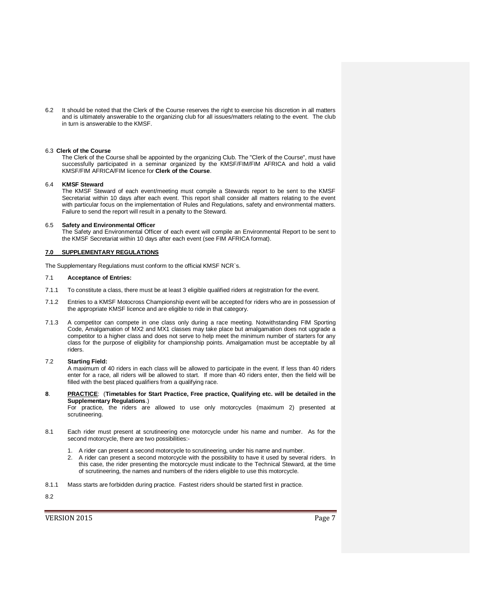6.2 It should be noted that the Clerk of the Course reserves the right to exercise his discretion in all matters and is ultimately answerable to the organizing club for all issues/matters relating to the event. The club in turn is answerable to the KMSF.

#### 6.3 **Clerk of the Course**

The Clerk of the Course shall be appointed by the organizing Club. The "Clerk of the Course", must have successfully participated in a seminar organized by the KMSF/FIM/FIM AFRICA and hold a valid KMSF/FIM AFRICA/FIM licence for **Clerk of the Course**.

#### 6.4 **KMSF Steward**

The KMSF Steward of each event/meeting must compile a Stewards report to be sent to the KMSF Secretariat within 10 days after each event. This report shall consider all matters relating to the event with particular focus on the implementation of Rules and Regulations, safety and environmental matters. Failure to send the report will result in a penalty to the Steward.

#### 6.5 **Safety and Environmental Officer**

The Safety and Environmental Officer of each event will compile an Environmental Report to be sent to the KMSF Secretariat within 10 days after each event (see FIM AFRICA format).

#### **7.0 SUPPLEMENTARY REGULATIONS**

The Supplementary Regulations must conform to the official KMSF NCR`s.

## 7.1 **Acceptance of Entries:**

- 7.1.1 To constitute a class, there must be at least 3 eligible qualified riders at registration for the event.
- 7.1.2 Entries to a KMSF Motocross Championship event will be accepted for riders who are in possession of the appropriate KMSF licence and are eligible to ride in that category.
- 7.1.3 A competitor can compete in one class only during a race meeting. Notwithstanding FIM Sporting Code, Amalgamation of MX2 and MX1 classes may take place but amalgamation does not upgrade a competitor to a higher class and does not serve to help meet the minimum number of starters for any class for the purpose of eligibility for championship points. Amalgamation must be acceptable by all riders.

#### 7.2 **Starting Field:**

A maximum of 40 riders in each class will be allowed to participate in the event. If less than 40 riders enter for a race, all riders will be allowed to start. If more than 40 riders enter, then the field will be filled with the best placed qualifiers from a qualifying race.

**8**. **PRACTICE**: (**Timetables for Start Practice, Free practice, Qualifying etc. will be detailed in the Supplementary Regulations**.)

For practice, the riders are allowed to use only motorcycles (maximum 2) presented at scrutineering.

- 8.1 Each rider must present at scrutineering one motorcycle under his name and number. As for the second motorcycle, there are two possibilities:-
	- 1. A rider can present a second motorcycle to scrutineering, under his name and number.
	- 2. A rider can present a second motorcycle with the possibility to have it used by several riders. In this case, the rider presenting the motorcycle must indicate to the Technical Steward, at the time of scrutineering, the names and numbers of the riders eligible to use this motorcycle.
- 8.1.1 Mass starts are forbidden during practice. Fastest riders should be started first in practice.

8.2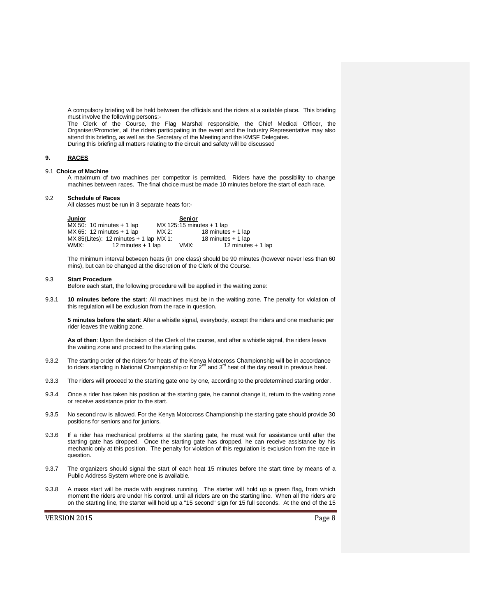A compulsory briefing will be held between the officials and the riders at a suitable place. This briefing must involve the following persons:-

The Clerk of the Course, the Flag Marshal responsible, the Chief Medical Officer, the Organiser/Promoter, all the riders participating in the event and the Industry Representative may also attend this briefing, as well as the Secretary of the Meeting and the KMSF Delegates. During this briefing all matters relating to the circuit and safety will be discussed

## **9. RACES**

# 9.1 **Choice of Machine**

A maximum of two machines per competitor is permitted. Riders have the possibility to change machines between races. The final choice must be made 10 minutes before the start of each race.

#### 9.2 **Schedule of Races**

All classes must be run in 3 separate heats for:-

| <b>Junior</b> |                                          |       | <b>Senior</b>                 |                     |
|---------------|------------------------------------------|-------|-------------------------------|---------------------|
|               | $MX 50: 10 minutes + 1 lap$              |       | $MX$ 125:15 minutes $+$ 1 lap |                     |
|               | $MX 65: 12 minutes + 1 lap$              | MX 2: |                               | 18 minutes + 1 lap  |
|               | $MX 85(Lites): 12 minutes + 1 lap MX 1:$ |       |                               | 18 minutes + 1 lap  |
| WMX:          | 12 minutes + 1 lap                       |       | VMX:                          | 12 minutes $+1$ lap |

The minimum interval between heats (in one class) should be 90 minutes (however never less than 60 mins), but can be changed at the discretion of the Clerk of the Course.

#### 9.3 **Start Procedure**

Before each start, the following procedure will be applied in the waiting zone:

9.3.1 **10 minutes before the start**: All machines must be in the waiting zone. The penalty for violation of this regulation will be exclusion from the race in question.

**5 minutes before the start**: After a whistle signal, everybody, except the riders and one mechanic per rider leaves the waiting zone.

**As of then**: Upon the decision of the Clerk of the course, and after a whistle signal, the riders leave the waiting zone and proceed to the starting gate.

- 9.3.2 The starting order of the riders for heats of the Kenya Motocross Championship will be in accordance to riders standing in National Championship or for  $2<sup>nd</sup>$  and  $3<sup>rd</sup>$  heat of the day result in previous heat.
- 9.3.3 The riders will proceed to the starting gate one by one, according to the predetermined starting order.
- 9.3.4 Once a rider has taken his position at the starting gate, he cannot change it, return to the waiting zone or receive assistance prior to the start.
- 9.3.5 No second row is allowed. For the Kenya Motocross Championship the starting gate should provide 30 positions for seniors and for juniors.
- 9.3.6 If a rider has mechanical problems at the starting gate, he must wait for assistance until after the starting gate has dropped. Once the starting gate has dropped, he can receive assistance by his mechanic only at this position. The penalty for violation of this regulation is exclusion from the race in question.
- 9.3.7 The organizers should signal the start of each heat 15 minutes before the start time by means of a Public Address System where one is available.
- 9.3.8 A mass start will be made with engines running. The starter will hold up a green flag, from which moment the riders are under his control, until all riders are on the starting line. When all the riders are on the starting line, the starter will hold up a "15 second" sign for 15 full seconds. At the end of the 15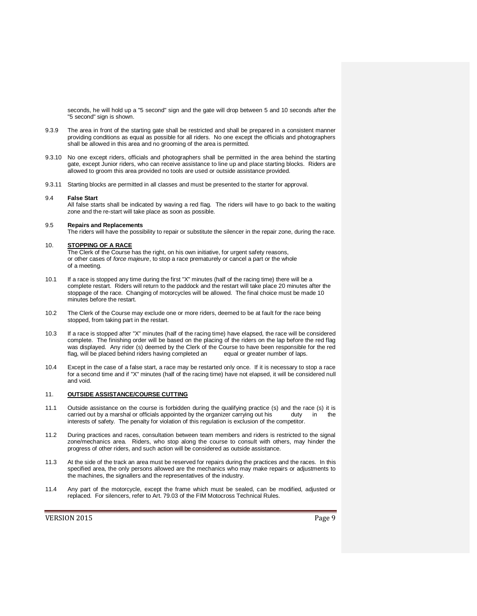seconds, he will hold up a "5 second" sign and the gate will drop between 5 and 10 seconds after the "5 second" sign is shown.

- 9.3.9 The area in front of the starting gate shall be restricted and shall be prepared in a consistent manner providing conditions as equal as possible for all riders. No one except the officials and photographers shall be allowed in this area and no grooming of the area is permitted.
- 9.3.10 No one except riders, officials and photographers shall be permitted in the area behind the starting gate, except Junior riders, who can receive assistance to line up and place starting blocks. Riders are allowed to groom this area provided no tools are used or outside assistance provided.
- 9.3.11 Starting blocks are permitted in all classes and must be presented to the starter for approval.

#### 9.4 **False Start**

All false starts shall be indicated by waving a red flag. The riders will have to go back to the waiting zone and the re-start will take place as soon as possible.

#### 9.5 **Repairs and Replacements**

The riders will have the possibility to repair or substitute the silencer in the repair zone, during the race.

#### 10. **STOPPING OF A RACE**

The Clerk of the Course has the right, on his own initiative, for urgent safety reasons, or other cases of *force majeure*, to stop a race prematurely or cancel a part or the whole of a meeting.

- 10.1 If a race is stopped any time during the first "X" minutes (half of the racing time) there will be a complete restart. Riders will return to the paddock and the restart will take place 20 minutes after the stoppage of the race. Changing of motorcycles will be allowed. The final choice must be made 10 minutes before the restart.
- 10.2 The Clerk of the Course may exclude one or more riders, deemed to be at fault for the race being stopped, from taking part in the restart.
- 10.3 If a race is stopped after "X" minutes (half of the racing time) have elapsed, the race will be considered complete. The finishing order will be based on the placing of the riders on the lap before the red flag was displayed. Any rider (s) deemed by the Clerk of the Course to have been responsible for the red<br>flag, will be placed behind riders having completed an equal or greater number of laps. flag, will be placed behind riders having completed an
- 10.4 Except in the case of a false start, a race may be restarted only once. If it is necessary to stop a race for a second time and if "X" minutes (half of the racing time) have not elapsed, it will be considered null and void.

## 11. **OUTSIDE ASSISTANCE/COURSE CUTTING**

- 11.1 Outside assistance on the course is forbidden during the qualifying practice (s) and the race (s) it is carried out by a marshal or officials appointed by the organizer carrying out his duty in the interests of safety. The penalty for violation of this regulation is exclusion of the competitor.
- 11.2 During practices and races, consultation between team members and riders is restricted to the signal zone/mechanics area. Riders, who stop along the course to consult with others, may hinder the progress of other riders, and such action will be considered as outside assistance.
- 11.3 At the side of the track an area must be reserved for repairs during the practices and the races. In this specified area, the only persons allowed are the mechanics who may make repairs or adjustments to the machines, the signallers and the representatives of the industry.
- 11.4 Any part of the motorcycle, except the frame which must be sealed, can be modified, adjusted or replaced. For silencers, refer to Art. 79.03 of the FIM Motocross Technical Rules.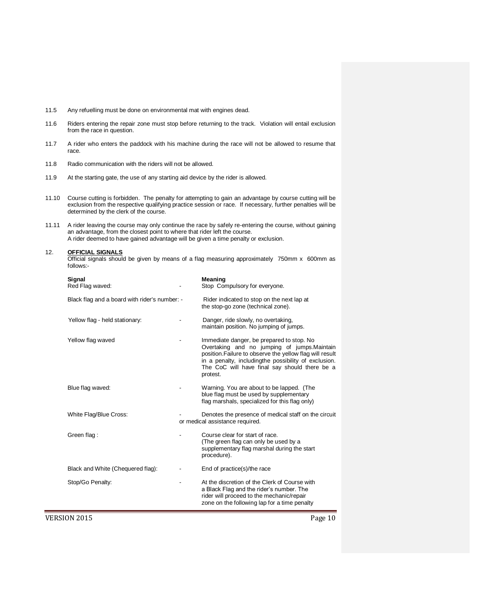- 11.5 Any refuelling must be done on environmental mat with engines dead.
- 11.6 Riders entering the repair zone must stop before returning to the track. Violation will entail exclusion from the race in question.
- 11.7 A rider who enters the paddock with his machine during the race will not be allowed to resume that race.
- 11.8 Radio communication with the riders will not be allowed.
- 11.9 At the starting gate, the use of any starting aid device by the rider is allowed.
- 11.10 Course cutting is forbidden. The penalty for attempting to gain an advantage by course cutting will be exclusion from the respective qualifying practice session or race. If necessary, further penalties will be determined by the clerk of the course.
- 11.11 A rider leaving the course may only continue the race by safely re-entering the course, without gaining an advantage, from the closest point to where that rider left the course. A rider deemed to have gained advantage will be given a time penalty or exclusion.

#### 12. **OFFICIAL SIGNALS**

Official signals should be given by means of a flag measuring approximately 750mm x 600mm as follows:-

| Signal<br>Red Flag waved:                     |                          | Meaning<br>Stop Compulsory for everyone.                                                                                                                                                                                                                                   |
|-----------------------------------------------|--------------------------|----------------------------------------------------------------------------------------------------------------------------------------------------------------------------------------------------------------------------------------------------------------------------|
| Black flag and a board with rider's number: - |                          | Rider indicated to stop on the next lap at<br>the stop-go zone (technical zone).                                                                                                                                                                                           |
| Yellow flag - held stationary:                |                          | Danger, ride slowly, no overtaking,<br>maintain position. No jumping of jumps.                                                                                                                                                                                             |
| Yellow flag waved                             |                          | Immediate danger, be prepared to stop. No<br>Overtaking and no jumping of jumps. Maintain<br>position. Failure to observe the yellow flag will result<br>in a penalty, includingthe possibility of exclusion.<br>The CoC will have final say should there be a<br>protest. |
| Blue flag waved:                              |                          | Warning. You are about to be lapped. (The<br>blue flag must be used by supplementary<br>flag marshals, specialized for this flag only)                                                                                                                                     |
| White Flag/Blue Cross:                        |                          | Denotes the presence of medical staff on the circuit<br>or medical assistance required.                                                                                                                                                                                    |
| Green flag:                                   |                          | Course clear for start of race.<br>(The green flag can only be used by a<br>supplementary flag marshal during the start<br>procedure).                                                                                                                                     |
| Black and White (Chequered flag):             |                          | End of practice(s)/the race                                                                                                                                                                                                                                                |
| Stop/Go Penalty:                              | $\overline{\phantom{0}}$ | At the discretion of the Clerk of Course with<br>a Black Flag and the rider's number. The<br>rider will proceed to the mechanic/repair<br>zone on the following lap for a time penalty                                                                                     |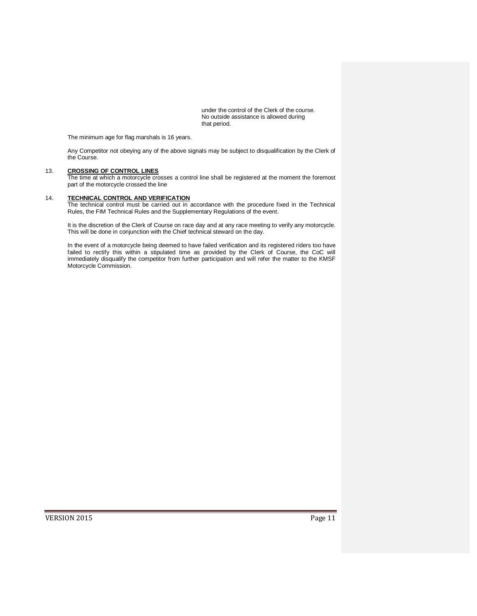under the control of the Clerk of the course. No outside assistance is allowed during that period.

The minimum age for flag marshals is 16 years.

Any Competitor not obeying any of the above signals may be subject to disqualification by the Clerk of the Course.

# 13. **CROSSING OF CONTROL LINES**

The time at which a motorcycle crosses a control line shall be registered at the moment the foremost part of the motorcycle crossed the line

## 14. **TECHNICAL CONTROL AND VERIFICATION**

The technical control must be carried out in accordance with the procedure fixed in the Technical Rules, the FIM Technical Rules and the Supplementary Regulations of the event.

It is the discretion of the Clerk of Course on race day and at any race meeting to verify any motorcycle. This will be done in conjunction with the Chief technical steward on the day.

In the event of a motorcycle being deemed to have failed verification and its registered riders too have failed to rectify this within a stipulated time as provided by the Clerk of Course, the CoC will immediately disqualify the competitor from further participation and will refer the matter to the KMSF Motorcycle Commission.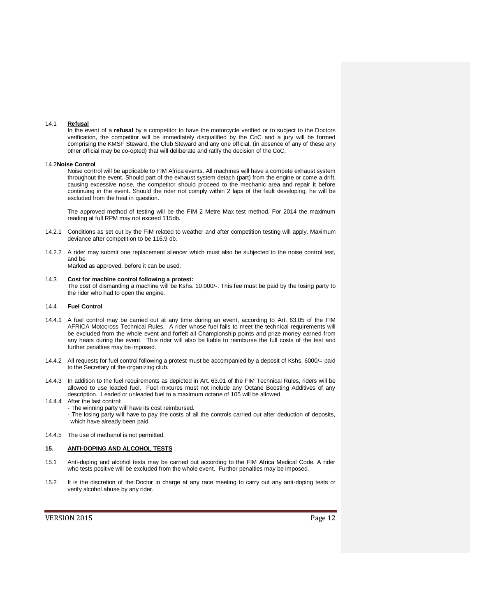#### 14.1 **Refusal**

In the event of a **refusal** by a competitor to have the motorcycle verified or to subject to the Doctors verification, the competitor will be immediately disqualified by the CoC and a jury will be formed comprising the KMSF Steward, the Club Steward and any one official, (in absence of any of these any other official may be co-opted) that will deliberate and ratify the decision of the CoC.

#### 14.2**Noise Control**

Noise control will be applicable to FIM Africa events. All machines will have a compete exhaust system throughout the event. Should part of the exhaust system detach (part) from the engine or come a drift, causing excessive noise, the competitor should proceed to the mechanic area and repair it before continuing in the event. Should the rider not comply within 2 laps of the fault developing, he will be excluded from the heat in question.

The approved method of testing will be the FIM 2 Metre Max test method. For 2014 the maximum reading at full RPM may not exceed 115db.

- 14.2.1 Conditions as set out by the FIM related to weather and after competition testing will apply. Maximum deviance after competition to be 116.9 db.
- 14.2.2 A rider may submit one replacement silencer which must also be subjected to the noise control test, and be

Marked as approved, before it can be used.

14.3 **Cost for machine control following a protest:** The cost of dismantling a machine will be Kshs. 10,000/-. This fee must be paid by the losing party to the rider who had to open the engine.

#### 14.4 **Fuel Control**

- 14.4.1 A fuel control may be carried out at any time during an event, according to Art. 63.05 of the FIM AFRICA Motocross Technical Rules. A rider whose fuel fails to meet the technical requirements will be excluded from the whole event and forfeit all Championship points and prize money earned from any heats during the event. This rider will also be liable to reimburse the full costs of the test and further penalties may be imposed.
- 14.4.2 All requests for fuel control following a protest must be accompanied by a deposit of Kshs. 6000/= paid to the Secretary of the organizing club.
- 14.4.3 In addition to the fuel requirements as depicted in Art. 63.01 of the FIM Technical Rules, riders will be allowed to use leaded fuel. Fuel mixtures must not include any Octane Boosting Additives of any description. Leaded or unleaded fuel to a maximum octane of 105 will be allowed.
- 14.4.4 After the last control:
	- The winning party will have its cost reimbursed.
		- The losing party will have to pay the costs of all the controls carried out after deduction of deposits, which have already been paid.
- 14.4.5 The use of methanol is not permitted.

## **15. ANTI-DOPING AND ALCOHOL TESTS**

- 15.1 Anti-doping and alcohol tests may be carried out according to the FIM Africa Medical Code. A rider who tests positive will be excluded from the whole event. Further penalties may be imposed.
- 15.2 It is the discretion of the Doctor in charge at any race meeting to carry out any anti-doping tests or verify alcohol abuse by any rider.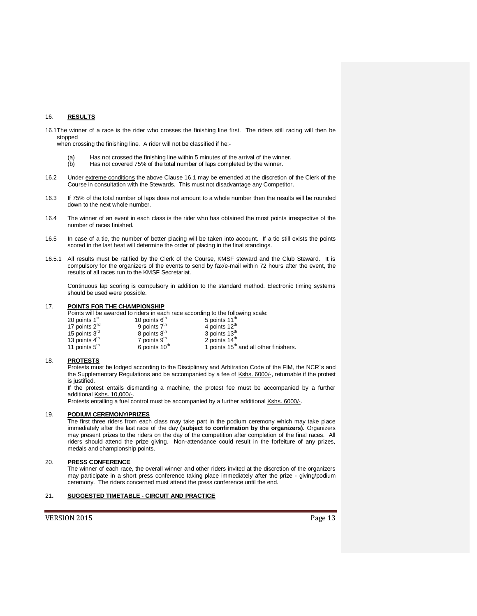## 16. **RESULTS**

16.1The winner of a race is the rider who crosses the finishing line first. The riders still racing will then be stopped

when crossing the finishing line. A rider will not be classified if he:-

- (a) Has not crossed the finishing line within 5 minutes of the arrival of the winner.<br>(b) Has not covered 75% of the total number of laps completed by the winner.
- Has not covered 75% of the total number of laps completed by the winner.
- 16.2 Under extreme conditions the above Clause 16.1 may be emended at the discretion of the Clerk of the Course in consultation with the Stewards. This must not disadvantage any Competitor.
- 16.3 If 75% of the total number of laps does not amount to a whole number then the results will be rounded down to the next whole number.
- 16.4 The winner of an event in each class is the rider who has obtained the most points irrespective of the number of races finished.
- 16.5 In case of a tie, the number of better placing will be taken into account. If a tie still exists the points scored in the last heat will determine the order of placing in the final standings.
- 16.5.1 All results must be ratified by the Clerk of the Course, KMSF steward and the Club Steward. It is compulsory for the organizers of the events to send by fax/e-mail within 72 hours after the event, the results of all races run to the KMSF Secretariat.

Continuous lap scoring is compulsory in addition to the standard method. Electronic timing systems should be used were possible.

#### 17. **POINTS FOR THE CHAMPIONSHIP**

Points will be awarded to riders in each race according to the following scale:

| 20 points 1 <sup>st</sup> | 10 points $6th$           | 5 points 11 <sup>th</sup>                          |
|---------------------------|---------------------------|----------------------------------------------------|
| 17 points $2^{nd}$        | 9 points $7th$            | 4 points 12 <sup>th</sup>                          |
| 15 points $3^{\text{rd}}$ | 8 points 8 <sup>th</sup>  | 3 points 13 <sup>th</sup>                          |
| 13 points $4^{\text{m}}$  | 7 points $9tn$            | 2 points 14 <sup>th</sup>                          |
| 11 points $5th$           | 6 points 10 <sup>th</sup> | 1 points 15 <sup>th</sup> and all other finishers. |

#### 18. **PROTESTS**

Protests must be lodged according to the Disciplinary and Arbitration Code of the FIM, the NCR`s and the Supplementary Regulations and be accompanied by a fee of Kshs. 6000/-, returnable if the protest is justified.

If the protest entails dismantling a machine, the protest fee must be accompanied by a further additional Kshs. 10,000/-.

Protests entailing a fuel control must be accompanied by a further additional Kshs. 6000/-.

## 19. **PODIUM CEREMONY/PRIZES**

The first three riders from each class may take part in the podium ceremony which may take place immediately after the last race of the day **(subject to confirmation by the organizers).** Organizers may present prizes to the riders on the day of the competition after completion of the final races. All riders should attend the prize giving. Non-attendance could result in the forfeiture of any prizes, medals and championship points.

# 20. **PRESS CONFERENCE**

The winner of each race, the overall winner and other riders invited at the discretion of the organizers may participate in a short press conference taking place immediately after the prize - giving/podium ceremony. The riders concerned must attend the press conference until the end.

## 21**. SUGGESTED TIMETABLE - CIRCUIT AND PRACTICE**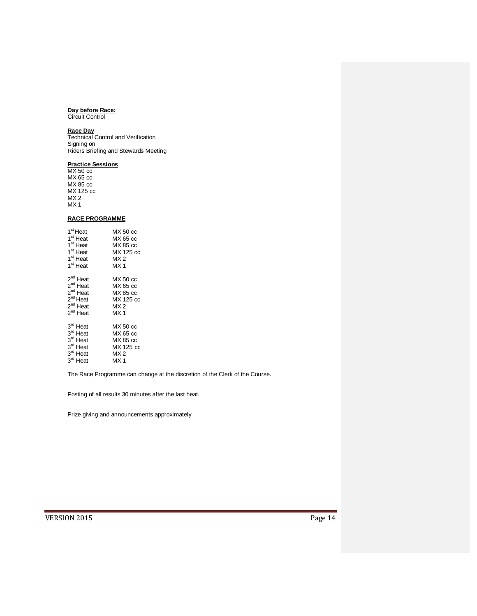#### **Day before Race:**

Circuit Control

## **Race Day**

Technical Control and Verification Signing on Riders Briefing and Stewards Meeting

#### **Practice Sessions**

MX 50 cc MX 65 cc MX 85 cc MX 125 cc  $MX 2$ MX 1

# **RACE PROGRAMME**

| 1 <sup>st</sup> Heat | MX 50 cc        |
|----------------------|-----------------|
| 1 <sup>st</sup> Heat | MX 65 cc        |
| 1 <sup>st</sup> Heat | MX 85 cc        |
| 1 <sup>st</sup> Heat | MX 125 cc       |
| 1 <sup>st</sup> Heat | MX 2            |
| 1 <sup>st</sup> Heat | MX <sub>1</sub> |
| $2^{nd}$ Heat        | MX 50 cc        |
| $2^{nd}$ Heat        | MX 65 cc        |
| $2^{nd}$ Heat        | MX 85 cc        |
| $2^{nd}$ Heat        | MX 125 cc       |
| $2^{nd}$ Heat        | MX 2            |
| 2 <sup>nd</sup> Heat | MX <sub>1</sub> |
| $3^{\text{rd}}$ Heat | MX 50 cc        |
| 3rd Heat             | MX 65 cc        |
| 3 <sup>rd</sup> Heat | MX 85 cc        |
| 3rd Heat             | MX 125 cc       |
| 3rd Heat             | MX 2            |
| 3rd Heat             | MX1             |

The Race Programme can change at the discretion of the Clerk of the Course.

Posting of all results 30 minutes after the last heat.

Prize giving and announcements approximately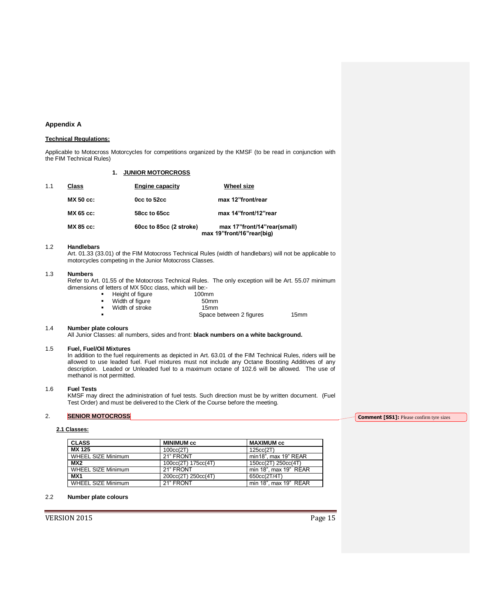## **Appendix A**

## **Technical Regulations:**

Applicable to Motocross Motorcycles for competitions organized by the KMSF (to be read in conjunction with the FIM Technical Rules)

|     |                  | <b>JUNIOR MOTORCROSS</b> |                                                          |
|-----|------------------|--------------------------|----------------------------------------------------------|
| 1.1 | <b>Class</b>     | <b>Engine capacity</b>   | <b>Wheel size</b>                                        |
|     | <b>MX 50 cc:</b> | Occ to 52cc              | max 12"front/rear                                        |
|     | MX 65 cc:        | 58cc to 65cc             | max 14"front/12"rear                                     |
|     | MX 85 cc:        | 60cc to 85cc (2 stroke)  | max 17"front/14"rear(small)<br>max 19"front/16"rear(big) |

#### 1.2 **Handlebars**

Art. 01.33 (33.01) of the FIM Motocross Technical Rules (width of handlebars) will not be applicable to motorcycles competing in the Junior Motocross Classes.

#### 1.3 **Numbers**

Refer to Art. 01.55 of the Motocross Technical Rules. The only exception will be Art. 55.07 minimum dimensions of letters of MX 50cc class, which will be:-

| ٠ | Height of figure | 100 <sub>mm</sub> |
|---|------------------|-------------------|
| ٠ | Width of figure  | 50 <sub>mm</sub>  |
|   |                  |                   |

| Width of stroke | 15mm |  |
|-----------------|------|--|
|                 |      |  |

Space between 2 figures 15mm

## 1.4 **Number plate colours**

All Junior Classes: all numbers, sides and front: **black numbers on a white background.**

#### 1.5 **Fuel, Fuel/Oil Mixtures**

In addition to the fuel requirements as depicted in Art. 63.01 of the FIM Technical Rules, riders will be allowed to use leaded fuel. Fuel mixtures must not include any Octane Boosting Additives of any description. Leaded or Unleaded fuel to a maximum octane of 102.6 will be allowed. The use of methanol is not permitted.

#### 1.6 **Fuel Tests**

KMSF may direct the administration of fuel tests. Such direction must be by written document. (Fuel Test Order) and must be delivered to the Clerk of the Course before the meeting.

## 2. **SENIOR MOTOCROSS**

## **2.1 Classes:**

| <b>CLASS</b>              | <b>MINIMUM cc</b>   | <b>MAXIMUM cc</b>     |
|---------------------------|---------------------|-----------------------|
| MX 125                    | 100cc(2T)           | 125cc(2T)             |
| WHEEL SIZE Minimum        | 21" FRONT           | min18", max 19" REAR  |
| MX <sub>2</sub>           | 100cc(2T) 175cc(4T) | 150cc(2T) 250cc(4T)   |
| WHEEL SIZE Minimum        | 21" FRONT           | min 18", max 19" REAR |
| MX <sub>1</sub>           | 200cc(2T) 250cc(4T) | 650cc(2T/4T)          |
| <b>WHEEL SIZE Minimum</b> | 21" FRONT           | min 18", max 19" REAR |

## 2.2 **Number plate colours**

VERSION 2015 Page 15

**Comment [SS1]:** Please confirm tyre sizes